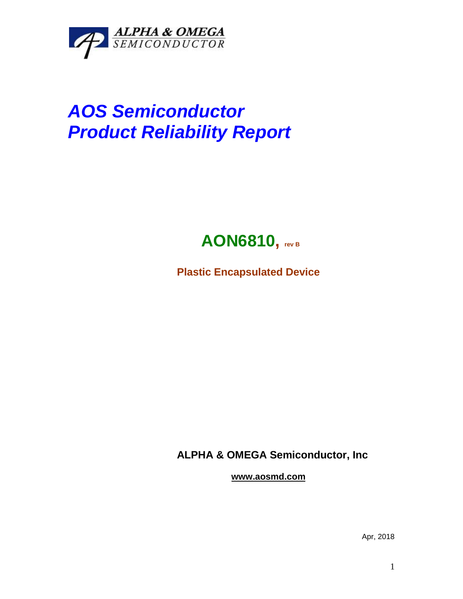

## *AOS Semiconductor Product Reliability Report*



**Plastic Encapsulated Device**

**ALPHA & OMEGA Semiconductor, Inc**

**www.aosmd.com**

Apr, 2018